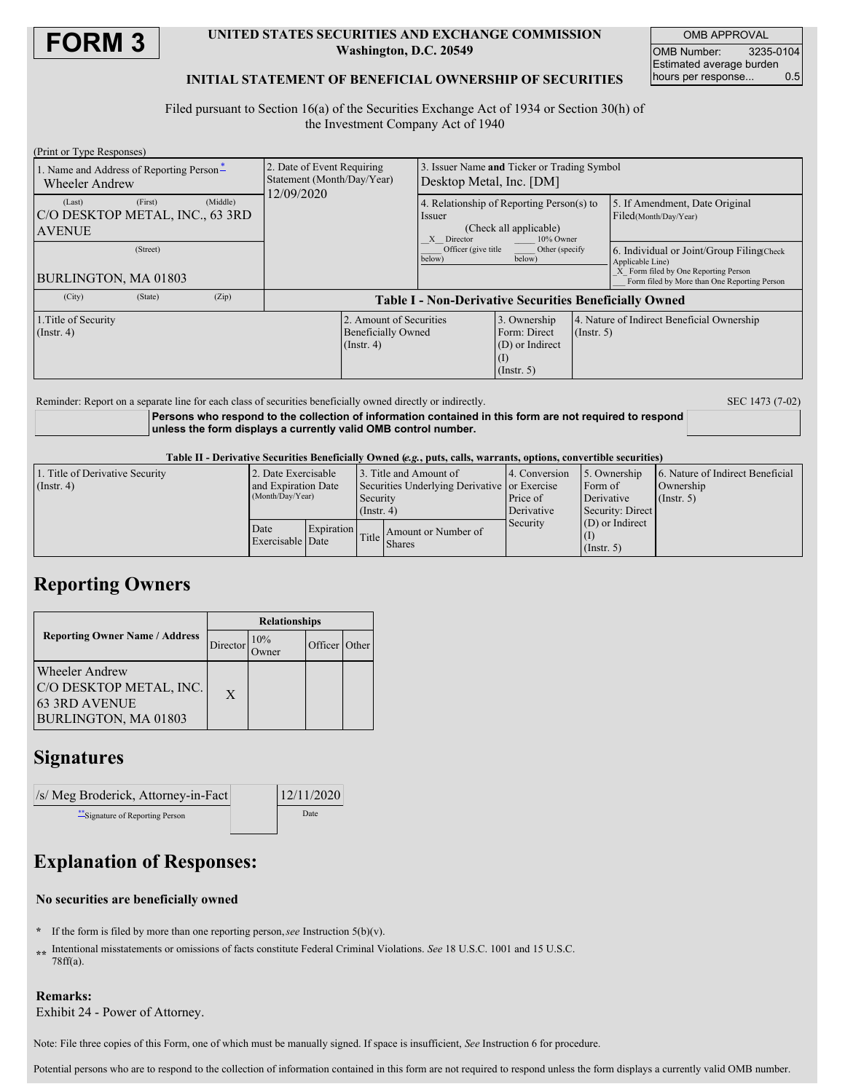

### **UNITED STATES SECURITIES AND EXCHANGE COMMISSION Washington, D.C. 20549**

OMB APPROVAL OMB Number: 3235-0104 Estimated average burden hours per response... 0.5

### **INITIAL STATEMENT OF BENEFICIAL OWNERSHIP OF SECURITIES**

Filed pursuant to Section 16(a) of the Securities Exchange Act of 1934 or Section 30(h) of the Investment Company Act of 1940

| (Print or Type Responses)                                         |         |          |                                                                        |                                                                          |                                                                                                          |                                                                     |                  |                                                                                                                                                        |  |
|-------------------------------------------------------------------|---------|----------|------------------------------------------------------------------------|--------------------------------------------------------------------------|----------------------------------------------------------------------------------------------------------|---------------------------------------------------------------------|------------------|--------------------------------------------------------------------------------------------------------------------------------------------------------|--|
| 1. Name and Address of Reporting Person-<br><b>Wheeler Andrew</b> |         |          | 2. Date of Event Requiring<br>Statement (Month/Day/Year)<br>12/09/2020 |                                                                          | Issuer Name and Ticker or Trading Symbol<br>Desktop Metal, Inc. [DM]                                     |                                                                     |                  |                                                                                                                                                        |  |
| (Last)<br>C/O DESKTOP METAL, INC., 63 3RD<br><b>AVENUE</b>        | (First) | (Middle) |                                                                        |                                                                          | 4. Relationship of Reporting Person(s) to<br>Issuer<br>(Check all applicable)<br>X Director<br>10% Owner |                                                                     |                  | 5. If Amendment, Date Original<br>Filed(Month/Day/Year)                                                                                                |  |
| (Street)<br>BURLINGTON, MA 01803                                  |         |          |                                                                        |                                                                          | Officer (give title)<br>Other (specify)<br>below)<br>below)                                              |                                                                     |                  | 6. Individual or Joint/Group Filing(Check)<br>Applicable Line)<br>X Form filed by One Reporting Person<br>Form filed by More than One Reporting Person |  |
| (City)                                                            | (State) | (Zip)    | <b>Table I - Non-Derivative Securities Beneficially Owned</b>          |                                                                          |                                                                                                          |                                                                     |                  |                                                                                                                                                        |  |
| 1. Title of Security<br>$($ Instr. 4 $)$                          |         |          |                                                                        | 2. Amount of Securities<br><b>Beneficially Owned</b><br>$($ Instr. 4 $)$ |                                                                                                          | 3. Ownership<br>Form: Direct<br>(D) or Indirect<br>$($ Instr. 5 $)$ | $($ Instr. 5 $)$ | 4. Nature of Indirect Beneficial Ownership                                                                                                             |  |

Reminder: Report on a separate line for each class of securities beneficially owned directly or indirectly. SEC 1473 (7-02)

**Persons who respond to the collection of information contained in this form are not required to respond unless the form displays a currently valid OMB control number.**

Table II - Derivative Securities Beneficially Owned (e.g., puts, calls, warrants, options, convertible securities)

| 1. Title of Derivative Security | 2. Date Exercisable      |            | 13. Title and Amount of                      |                     | 4. Conversion | 5. Ownership      | 6. Nature of Indirect Beneficial |  |
|---------------------------------|--------------------------|------------|----------------------------------------------|---------------------|---------------|-------------------|----------------------------------|--|
| (Insert 4)                      | and Expiration Date      |            | Securities Underlying Derivative or Exercise |                     |               | Form of           | Ownership                        |  |
|                                 | (Month/Day/Year)         |            | Security<br>$($ Instr. 4 $)$                 |                     | Price of      | Derivative        | $($ Instr. 5 $)$                 |  |
|                                 |                          |            |                                              |                     | Derivative    | Security: Direct  |                                  |  |
|                                 | Date<br>Exercisable Date | Expiration | Title I                                      | Amount or Number of | Security      | $(D)$ or Indirect |                                  |  |
|                                 |                          |            |                                              |                     |               |                   |                                  |  |
|                                 |                          |            |                                              | <b>Shares</b>       |               | $($ Instr. 5 $)$  |                                  |  |

## **Reporting Owners**

|                                                                                                  | <b>Relationships</b> |     |               |  |  |  |
|--------------------------------------------------------------------------------------------------|----------------------|-----|---------------|--|--|--|
| <b>Reporting Owner Name / Address</b>                                                            | Director             | 10% | Officer Other |  |  |  |
| <b>Wheeler Andrew</b><br>C/O DESKTOP METAL, INC.<br><b>63 3RD AVENUE</b><br>BURLINGTON, MA 01803 | $\mathbf{X}$         |     |               |  |  |  |

## **Signatures**

| $\sqrt{s}$ Meg Broderick, Attorney-in-Fact | 12/11/2020 |  |
|--------------------------------------------|------------|--|
| Signature of Reporting Person              | Date       |  |

# **Explanation of Responses:**

### **No securities are beneficially owned**

- **\*** If the form is filed by more than one reporting person,*see* Instruction 5(b)(v).
- **\*\*** Intentional misstatements or omissions of facts constitute Federal Criminal Violations. *See* 18 U.S.C. 1001 and 15 U.S.C. 78ff(a).

### **Remarks:**

Exhibit 24 - Power of Attorney.

Note: File three copies of this Form, one of which must be manually signed. If space is insufficient, *See* Instruction 6 for procedure.

Potential persons who are to respond to the collection of information contained in this form are not required to respond unless the form displays a currently valid OMB number.